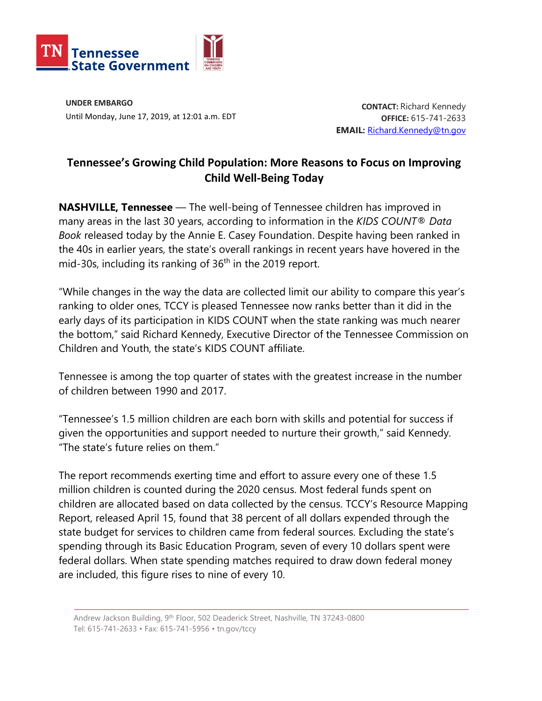

**UNDER EMBARGO** Until Monday, June 17, 2019, at 12:01 a.m. EDT

**CONTACT:** Richard Kennedy **OFFICE:** 615-741-2633 **EMAIL:** [Richard.Kennedy@tn.gov](mailto:Richard.Kennedy@tn.gov)

## **Tennessee's Growing Child Population: More Reasons to Focus on Improving Child Well-Being Today**

**NASHVILLE, Tennessee** — The well-being of Tennessee children has improved in many areas in the last 30 years, according to information in the *KIDS COUNT® Data Book* released today by the Annie E. Casey Foundation. Despite having been ranked in the 40s in earlier years, the state's overall rankings in recent years have hovered in the mid-30s, including its ranking of  $36<sup>th</sup>$  in the 2019 report.

"While changes in the way the data are collected limit our ability to compare this year's ranking to older ones, TCCY is pleased Tennessee now ranks better than it did in the early days of its participation in KIDS COUNT when the state ranking was much nearer the bottom," said Richard Kennedy, Executive Director of the Tennessee Commission on Children and Youth, the state's KIDS COUNT affiliate.

Tennessee is among the top quarter of states with the greatest increase in the number of children between 1990 and 2017.

"Tennessee's 1.5 million children are each born with skills and potential for success if given the opportunities and support needed to nurture their growth," said Kennedy. "The state's future relies on them."

The report recommends exerting time and effort to assure every one of these 1.5 million children is counted during the 2020 census. Most federal funds spent on children are allocated based on data collected by the census. TCCY's Resource Mapping Report, released April 15, found that 38 percent of all dollars expended through the state budget for services to children came from federal sources. Excluding the state's spending through its Basic Education Program, seven of every 10 dollars spent were federal dollars. When state spending matches required to draw down federal money are included, this figure rises to nine of every 10.

Andrew Jackson Building, 9th Floor, 502 Deaderick Street, Nashville, TN 37243-0800 Tel: 615-741-2633 • Fax: 615-741-5956 • tn.gov/tccy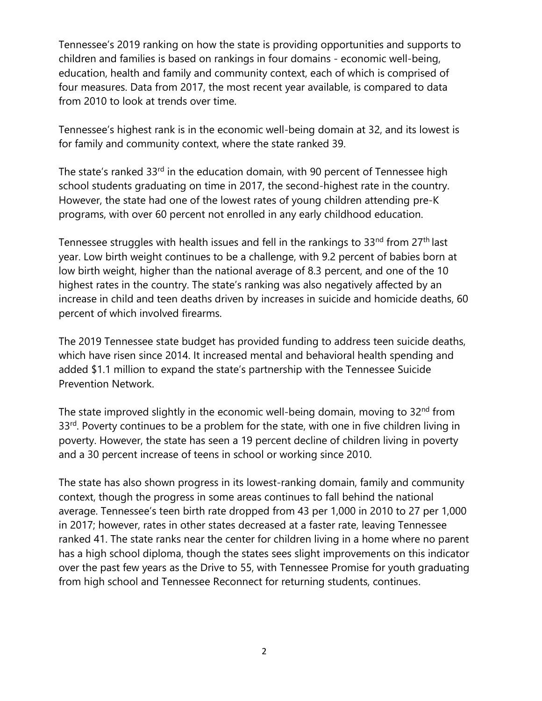Tennessee's 2019 ranking on how the state is providing opportunities and supports to children and families is based on rankings in four domains - economic well-being, education, health and family and community context, each of which is comprised of four measures. Data from 2017, the most recent year available, is compared to data from 2010 to look at trends over time.

Tennessee's highest rank is in the economic well-being domain at 32, and its lowest is for family and community context, where the state ranked 39.

The state's ranked 33rd in the education domain, with 90 percent of Tennessee high school students graduating on time in 2017, the second-highest rate in the country. However, the state had one of the lowest rates of young children attending pre-K programs, with over 60 percent not enrolled in any early childhood education.

Tennessee struggles with health issues and fell in the rankings to 33<sup>nd</sup> from 27<sup>th</sup> last year. Low birth weight continues to be a challenge, with 9.2 percent of babies born at low birth weight, higher than the national average of 8.3 percent, and one of the 10 highest rates in the country. The state's ranking was also negatively affected by an increase in child and teen deaths driven by increases in suicide and homicide deaths, 60 percent of which involved firearms.

The 2019 Tennessee state budget has provided funding to address teen suicide deaths, which have risen since 2014. It increased mental and behavioral health spending and added \$1.1 million to expand the state's partnership with the Tennessee Suicide Prevention Network.

The state improved slightly in the economic well-being domain, moving to 32<sup>nd</sup> from 33<sup>rd</sup>. Poverty continues to be a problem for the state, with one in five children living in poverty. However, the state has seen a 19 percent decline of children living in poverty and a 30 percent increase of teens in school or working since 2010.

The state has also shown progress in its lowest-ranking domain, family and community context, though the progress in some areas continues to fall behind the national average. Tennessee's teen birth rate dropped from 43 per 1,000 in 2010 to 27 per 1,000 in 2017; however, rates in other states decreased at a faster rate, leaving Tennessee ranked 41. The state ranks near the center for children living in a home where no parent has a high school diploma, though the states sees slight improvements on this indicator over the past few years as the Drive to 55, with Tennessee Promise for youth graduating from high school and Tennessee Reconnect for returning students, continues.